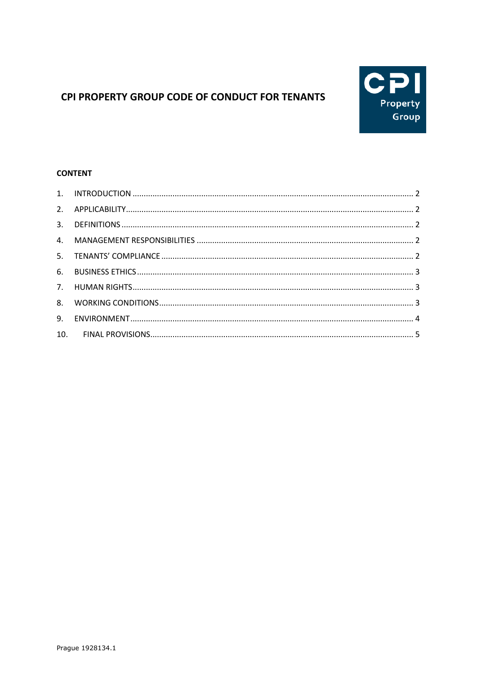# CPI PROPERTY GROUP CODE OF CONDUCT FOR TENANTS



## **CONTENT**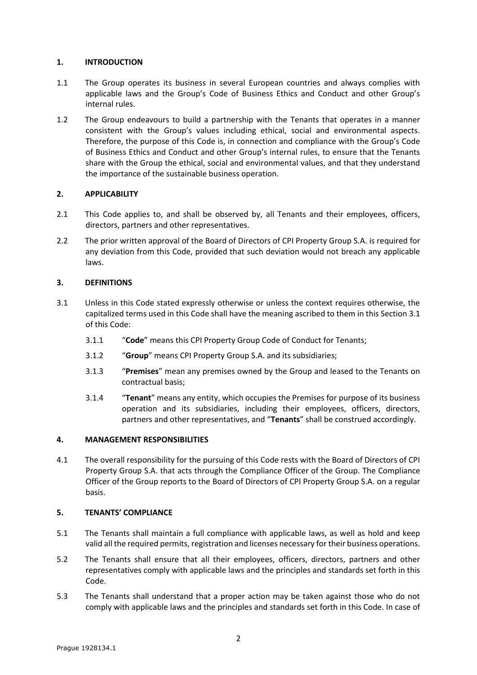## <span id="page-1-0"></span>**1. INTRODUCTION**

- 1.1 The Group operates its business in several European countries and always complies with applicable laws and the Group's Code of Business Ethics and Conduct and other Group's internal rules.
- 1.2 The Group endeavours to build a partnership with the Tenants that operates in a manner consistent with the Group's values including ethical, social and environmental aspects. Therefore, the purpose of this Code is, in connection and compliance with the Group's Code of Business Ethics and Conduct and other Group's internal rules, to ensure that the Tenants share with the Group the ethical, social and environmental values, and that they understand the importance of the sustainable business operation.

## <span id="page-1-1"></span>**2. APPLICABILITY**

- 2.1 This Code applies to, and shall be observed by, all Tenants and their employees, officers, directors, partners and other representatives.
- 2.2 The prior written approval of the Board of Directors of CPI Property Group S.A. is required for any deviation from this Code, provided that such deviation would not breach any applicable laws.

## <span id="page-1-2"></span>**3. DEFINITIONS**

- <span id="page-1-5"></span>3.1 Unless in this Code stated expressly otherwise or unless the context requires otherwise, the capitalized terms used in this Code shall have the meaning ascribed to them in this Sectio[n 3.1](#page-1-5) of this Code:
	- 3.1.1 "**Code**" means this CPI Property Group Code of Conduct for Tenants;
	- 3.1.2 "**Group**" means CPI Property Group S.A. and its subsidiaries;
	- 3.1.3 "**Premises**" mean any premises owned by the Group and leased to the Tenants on contractual basis;
	- 3.1.4 "**Tenant**" means any entity, which occupies the Premises for purpose of its business operation and its subsidiaries, including their employees, officers, directors, partners and other representatives, and "**Tenants**" shall be construed accordingly.

#### <span id="page-1-3"></span>**4. MANAGEMENT RESPONSIBILITIES**

4.1 The overall responsibility for the pursuing of this Code rests with the Board of Directors of CPI Property Group S.A. that acts through the Compliance Officer of the Group. The Compliance Officer of the Group reports to the Board of Directors of CPI Property Group S.A. on a regular basis.

#### <span id="page-1-4"></span>**5. TENANTS' COMPLIANCE**

- 5.1 The Tenants shall maintain a full compliance with applicable laws, as well as hold and keep valid all the required permits, registration and licenses necessary for their business operations.
- 5.2 The Tenants shall ensure that all their employees, officers, directors, partners and other representatives comply with applicable laws and the principles and standards set forth in this Code.
- 5.3 The Tenants shall understand that a proper action may be taken against those who do not comply with applicable laws and the principles and standards set forth in this Code. In case of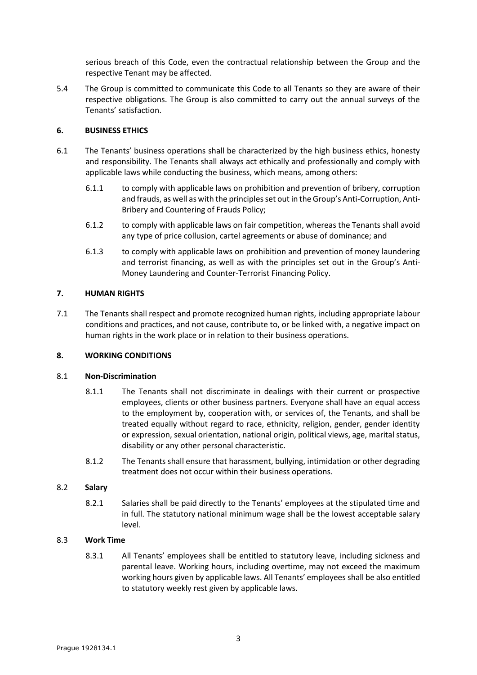serious breach of this Code, even the contractual relationship between the Group and the respective Tenant may be affected.

5.4 The Group is committed to communicate this Code to all Tenants so they are aware of their respective obligations. The Group is also committed to carry out the annual surveys of the Tenants' satisfaction.

#### <span id="page-2-0"></span>**6. BUSINESS ETHICS**

- 6.1 The Tenants' business operations shall be characterized by the high business ethics, honesty and responsibility. The Tenants shall always act ethically and professionally and comply with applicable laws while conducting the business, which means, among others:
	- 6.1.1 to comply with applicable laws on prohibition and prevention of bribery, corruption and frauds, as well as with the principles set out in the Group's Anti-Corruption, Anti-Bribery and Countering of Frauds Policy;
	- 6.1.2 to comply with applicable laws on fair competition, whereas the Tenants shall avoid any type of price collusion, cartel agreements or abuse of dominance; and
	- 6.1.3 to comply with applicable laws on prohibition and prevention of money laundering and terrorist financing, as well as with the principles set out in the Group's Anti-Money Laundering and Counter-Terrorist Financing Policy.

## <span id="page-2-1"></span>**7. HUMAN RIGHTS**

7.1 The Tenants shall respect and promote recognized human rights, including appropriate labour conditions and practices, and not cause, contribute to, or be linked with, a negative impact on human rights in the work place or in relation to their business operations.

#### <span id="page-2-2"></span>**8. WORKING CONDITIONS**

#### 8.1 **Non-Discrimination**

- 8.1.1 The Tenants shall not discriminate in dealings with their current or prospective employees, clients or other business partners. Everyone shall have an equal access to the employment by, cooperation with, or services of, the Tenants, and shall be treated equally without regard to race, ethnicity, religion, gender, gender identity or expression, sexual orientation, national origin, political views, age, marital status, disability or any other personal characteristic.
- 8.1.2 The Tenants shall ensure that harassment, bullying, intimidation or other degrading treatment does not occur within their business operations.

#### 8.2 **Salary**

8.2.1 Salaries shall be paid directly to the Tenants' employees at the stipulated time and in full. The statutory national minimum wage shall be the lowest acceptable salary level.

#### 8.3 **Work Time**

8.3.1 All Tenants' employees shall be entitled to statutory leave, including sickness and parental leave. Working hours, including overtime, may not exceed the maximum working hours given by applicable laws. All Tenants' employees shall be also entitled to statutory weekly rest given by applicable laws.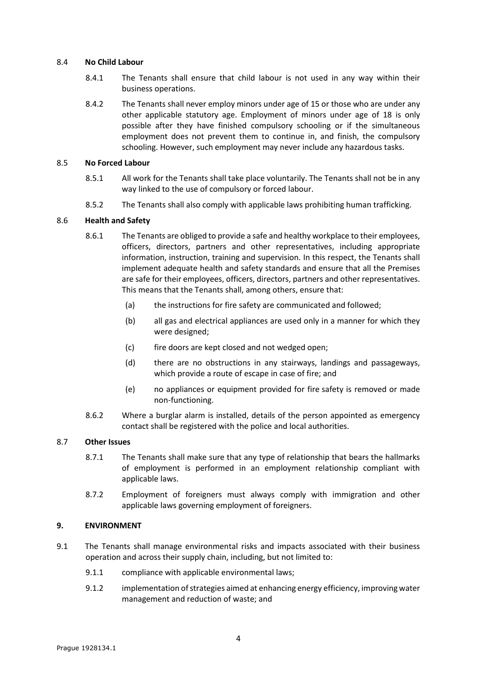#### 8.4 **No Child Labour**

- 8.4.1 The Tenants shall ensure that child labour is not used in any way within their business operations.
- 8.4.2 The Tenants shall never employ minors under age of 15 or those who are under any other applicable statutory age. Employment of minors under age of 18 is only possible after they have finished compulsory schooling or if the simultaneous employment does not prevent them to continue in, and finish, the compulsory schooling. However, such employment may never include any hazardous tasks.

#### 8.5 **No Forced Labour**

- 8.5.1 All work for the Tenants shall take place voluntarily. The Tenants shall not be in any way linked to the use of compulsory or forced labour.
- 8.5.2 The Tenants shall also comply with applicable laws prohibiting human trafficking.

## 8.6 **Health and Safety**

- 8.6.1 The Tenants are obliged to provide a safe and healthy workplace to their employees, officers, directors, partners and other representatives, including appropriate information, instruction, training and supervision. In this respect, the Tenants shall implement adequate health and safety standards and ensure that all the Premises are safe for their employees, officers, directors, partners and other representatives. This means that the Tenants shall, among others, ensure that:
	- (a) the instructions for fire safety are communicated and followed;
	- (b) all gas and electrical appliances are used only in a manner for which they were designed;
	- (c) fire doors are kept closed and not wedged open;
	- (d) there are no obstructions in any stairways, landings and passageways, which provide a route of escape in case of fire; and
	- (e) no appliances or equipment provided for fire safety is removed or made non-functioning.
- 8.6.2 Where a burglar alarm is installed, details of the person appointed as emergency contact shall be registered with the police and local authorities.

#### 8.7 **Other Issues**

- 8.7.1 The Tenants shall make sure that any type of relationship that bears the hallmarks of employment is performed in an employment relationship compliant with applicable laws.
- 8.7.2 Employment of foreigners must always comply with immigration and other applicable laws governing employment of foreigners.

#### <span id="page-3-0"></span>**9. ENVIRONMENT**

- 9.1 The Tenants shall manage environmental risks and impacts associated with their business operation and across their supply chain, including, but not limited to:
	- 9.1.1 compliance with applicable environmental laws;
	- 9.1.2 implementation of strategies aimed at enhancing energy efficiency, improving water management and reduction of waste; and